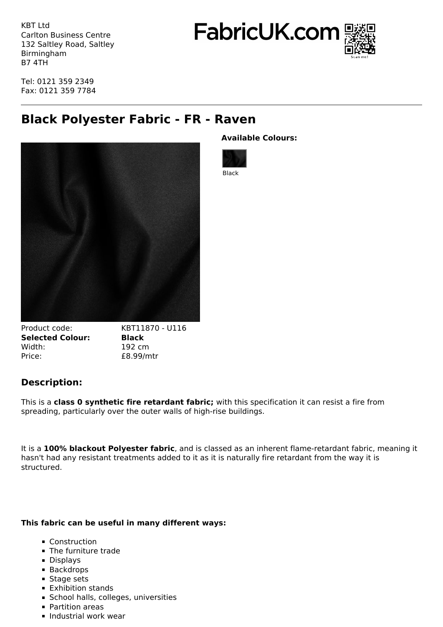KBT Ltd Carlton Business Centre 132 Saltley Road, Saltley Birmingham B7 4TH

FabricUK.com



Tel: 0121 359 2349 Fax: 0121 359 7784

## **Black Polyester Fabric - FR - Raven**



Product code: KBT11870 - U116 **Selected Colour: Black** Width: 192 cm Price:  $£8.99/mtr$ 

## **Description:**

This is a **class 0 synthetic fire retardant fabric;** with this specification it can resist a fire from spreading, particularly over the outer walls of high-rise buildings.

It is a **100% blackout Polyester fabric**, and is classed as an inherent flame-retardant fabric, meaning it hasn't had any resistant treatments added to it as it is naturally fire retardant from the way it is structured.

## **This fabric can be useful in many different ways:**

- **Construction**
- **The furniture trade**
- **Displays**
- Backdrops
- **Stage sets**
- **Exhibition stands**
- **School halls, colleges, universities**
- **Partition areas**
- **Industrial work wear**

**Available Colours:**



Black